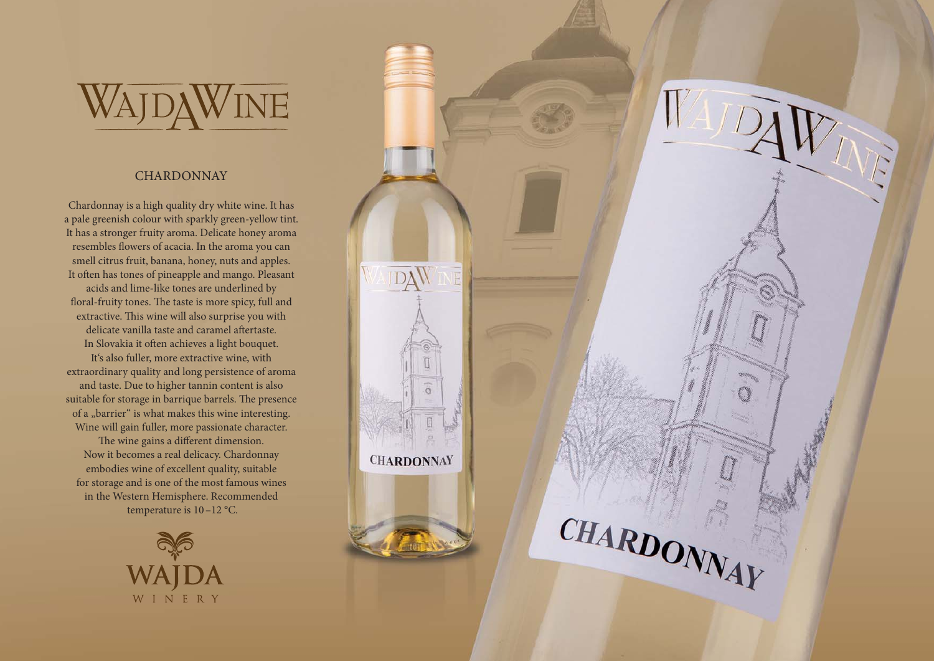

## **CHARDONNAY**

Chardonnay is a high quality dry white wine. It has a pale greenish colour with sparkly green-yellow tint. It has a stronger fruity aroma. Delicate honey aroma resembles flowers of acacia. In the aroma you can smell citrus fruit, banana, honey, nuts and apples. It often has tones of pineapple and mango. Pleasant acids and lime-like tones are underlined by floral-fruity tones. The taste is more spicy, full and extractive. This wine will also surprise you with delicate vanilla taste and caramel aftertaste. In Slovakia it often achieves a light bouquet. It's also fuller, more extractive wine, with extraordinary quality and long persistence of aroma and taste. Due to higher tannin content is also suitable for storage in barrique barrels. The presence of a "barrier" is what makes this wine interesting. Wine will gain fuller, more passionate character. The wine gains a different dimension. Now it becomes a real delicacy. Chardonnay embodies wine of excellent quality, suitable for storage and is one of the most famous wines in the Western Hemisphere. Recommended temperature is 10–12 °C.